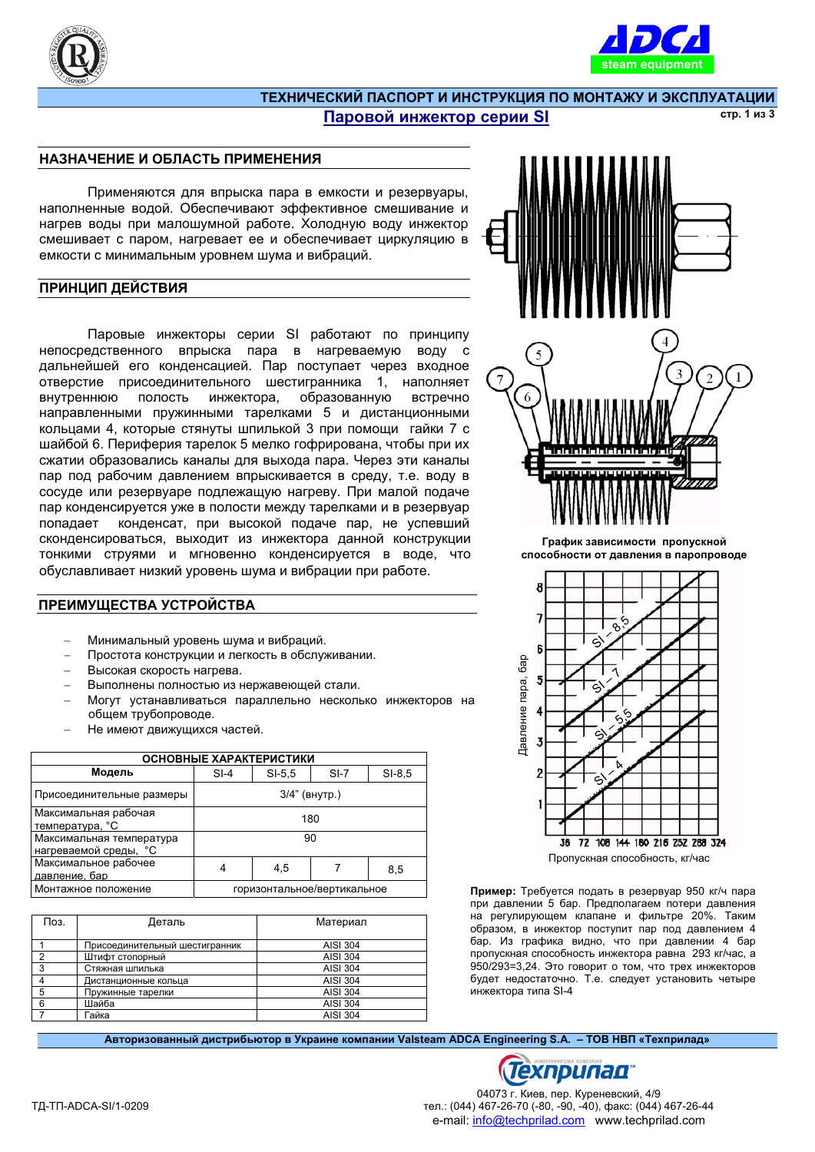



#### ТЕХНИЧЕСКИЙ ПАСПОРТ И ИНСТРУКЦИЯ ПО МОНТАЖУ И ЭКСПЛУАТАЦИИ Паровой инжектор серии SI **ic**<sub>TD</sub>. 1 из 3

## НАЗНАЧЕНИЕ И ОБЛАСТЬ ПРИМЕНЕНИЯ

Применяются для впрыска пара в емкости и резервуары, наполненные водой. Обеспечивают эффективное смешивание и нагрев воды при малошумной работе. Холодную воду инжектор смешивает с паром, нагревает ее и обеспечивает циркуляцию в емкости с минимальным уровнем шума и вибраций.

## ПРИНЦИП ДЕЙСТВИЯ

Паровые инжекторы серии SI работают по принципу непосредственного впрыска пара в нагреваемую воду с дальнейшей его конденсацией. Пар поступает через входное отверстие присоединительного шестигранника 1, наполняет внутреннюю полость инжектора, образованную встречно направленными пружинными тарелками 5 и дистанционными кольцами 4, которые стянуты шпилькой 3 при помощи гайки 7 с шайбой 6. Периферия тарелок 5 мелко гофрирована, чтобы при их сжатии образовались каналы для выхода пара. Через эти каналы пар под рабочим давлением впрыскивается в среду, т.е. воду в сосуде или резервуаре подлежащую нагреву. При малой подаче пар конденсируется уже в полости между тарелками и в резервуар попадает конденсат, при высокой подаче пар, не успевший сконденсироваться, выходит из инжектора данной конструкции тонкими струями и мгновенно конденсируется в воде, что обуславливает низкий уровень шума и вибрации при работе.

## ПРЕИМУЩЕСТВА УСТРОЙСТВА

- Минимальный уровень шума и вибраций.
- Простота конструкции и легкость в обслуживании.
- Высокая скорость нагрева.
- Выполнены полностью из нержавеющей стали.
- Могут устанавливаться параллельно несколько инжекторов на общем трубопроводе.
- Не имеют движущихся частей.

| ОСНОВНЫЕ ХАРАКТЕРИСТИКИ     |          |        |          |  |
|-----------------------------|----------|--------|----------|--|
| $SI-4$                      | $SI-5.5$ | $SI-7$ | $SI-8.5$ |  |
| 3/4" (внутр.)               |          |        |          |  |
| 180                         |          |        |          |  |
| 90                          |          |        |          |  |
| 4                           | 4,5      |        | 8,5      |  |
| горизонтальное/вертикальное |          |        |          |  |
|                             |          |        |          |  |

| Поз. | Деталь                         | Материал |
|------|--------------------------------|----------|
|      | Присоединительный шестигранник | AISI 304 |
| າ    | Штифт стопорный                | AISI 304 |
| 3    | Стяжная шпилька                | AISI 304 |
|      | Дистанционные кольца           | AISI 304 |
| 5    | Пружинные тарелки              | AISI 304 |
| 6    | Шайба                          | AISI 304 |
|      | Гайка                          | AISI 304 |



График зависимости пропускной способности от давления в паропроводе



Пример: Требуется подать в резервуар 950 кг/ч пара при давлении 5 бар. Предполагаем потери давления на регулирующем клапане и фильтре 20%. Таким образом, в инжектор поступит пар под давлением 4 бар. Из графика видно, что при давлении 4 бар пропускная способность инжектора равна 293 кг/час, а 950/293=3,24. Это говорит о том, что трех инжекторов будет недостаточно. Т.е. следует установить четыре инжектора типа SI-4

Авторизованный дистрибьютор в Украине компании Valsteam ADCA Engineering S.A. – ТОВ НВП «Техприлад»

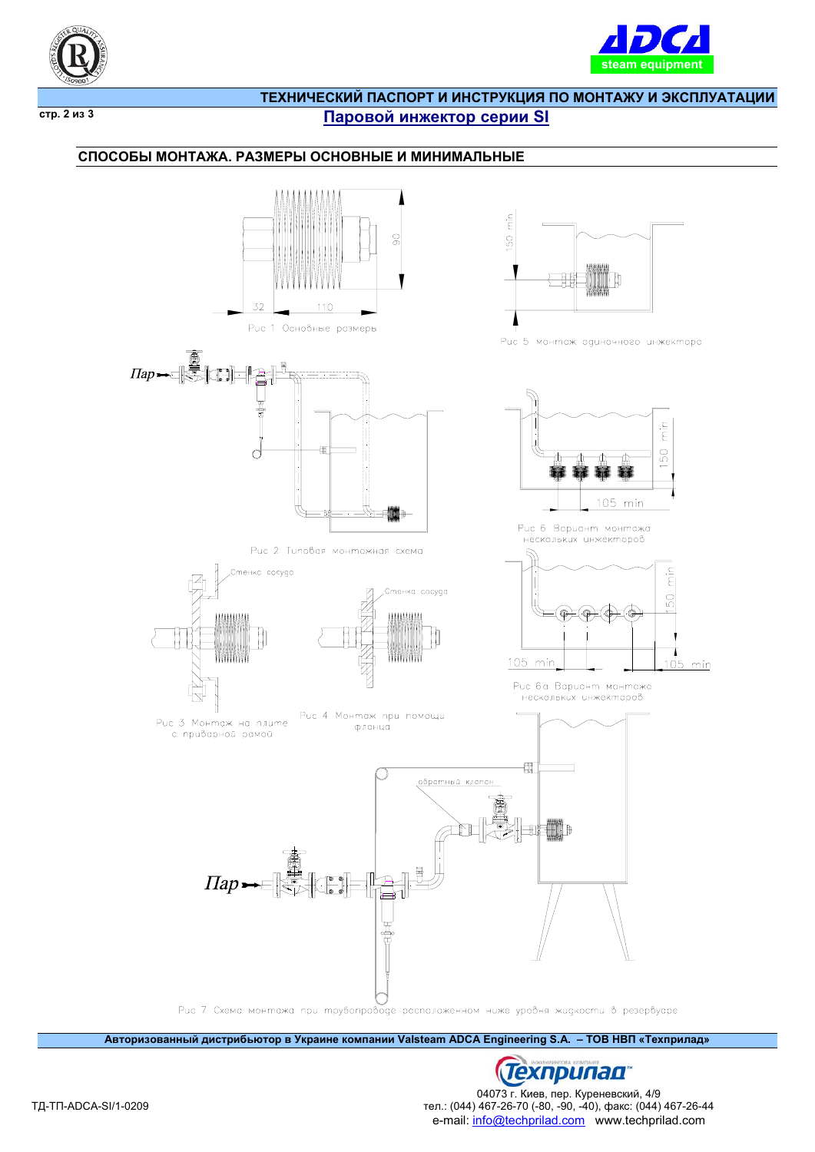



 $\overline{CTP}$ . 2 из 3

# ТЕХНИЧЕСКИЙ ПАСПОРТ И ИНСТРУКЦИЯ ПО МОНТАЖУ И ЭКСПЛУАТАЦИИ Паровой инжектор серии SI

## СПОСОБЫ МОНТАЖА. РАЗМЕРЫ ОСНОВНЫЕ И МИНИМАЛЬНЫЕ



**Латоризованный дистрибьютор в Украине компании Valsteam ADCA Engineering S.A. - ТОВ НВП «Техприлад»** 



04073 г. Киев, пер. Куреневский, 4/9 тел.: (044) 467-26-70 (-80, -90, -40), факс: (044) 467-26-44 e-mail: info@techprilad.com www.techprilad.com